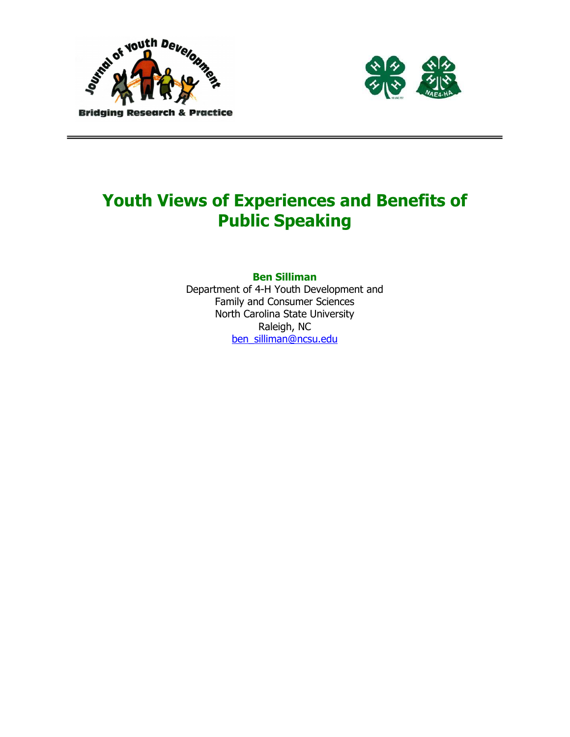



# Youth Views of Experiences and Benefits of Public Speaking

Ben Silliman

Department of 4-H Youth Development and Family and Consumer Sciences North Carolina State University Raleigh, NC ben\_silliman@ncsu.edu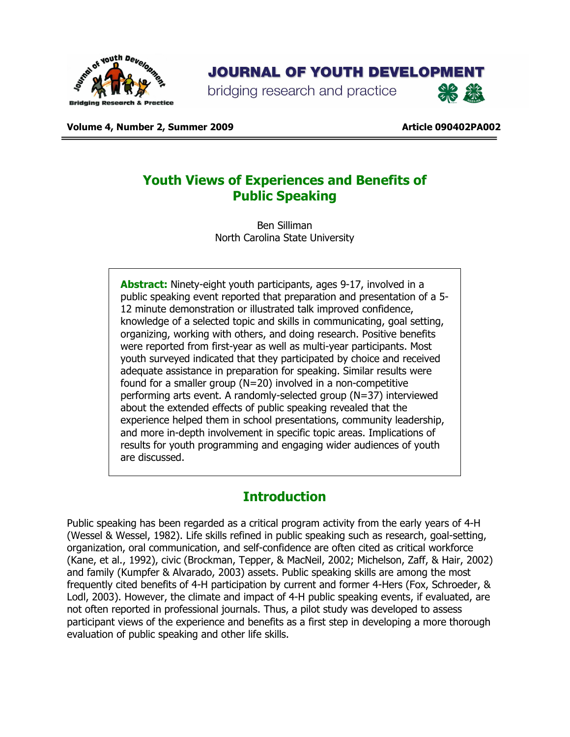

## **JOURNAL OF YOUTH DEVELOPMENT**

bridging research and practice



Volume 4, Number 2, Summer 2009 Article 090402PA002

## Youth Views of Experiences and Benefits of Public Speaking

Ben Silliman North Carolina State University

Abstract: Ninety-eight youth participants, ages 9-17, involved in a public speaking event reported that preparation and presentation of a 5- 12 minute demonstration or illustrated talk improved confidence, knowledge of a selected topic and skills in communicating, goal setting, organizing, working with others, and doing research. Positive benefits were reported from first-year as well as multi-year participants. Most youth surveyed indicated that they participated by choice and received adequate assistance in preparation for speaking. Similar results were found for a smaller group (N=20) involved in a non-competitive performing arts event. A randomly-selected group (N=37) interviewed about the extended effects of public speaking revealed that the experience helped them in school presentations, community leadership, and more in-depth involvement in specific topic areas. Implications of results for youth programming and engaging wider audiences of youth are discussed.

## **Introduction**

Public speaking has been regarded as a critical program activity from the early years of 4-H (Wessel & Wessel, 1982). Life skills refined in public speaking such as research, goal-setting, organization, oral communication, and self-confidence are often cited as critical workforce (Kane, et al., 1992), civic (Brockman, Tepper, & MacNeil, 2002; Michelson, Zaff, & Hair, 2002) and family (Kumpfer & Alvarado, 2003) assets. Public speaking skills are among the most frequently cited benefits of 4-H participation by current and former 4-Hers (Fox, Schroeder, & Lodl, 2003). However, the climate and impact of 4-H public speaking events, if evaluated, are not often reported in professional journals. Thus, a pilot study was developed to assess participant views of the experience and benefits as a first step in developing a more thorough evaluation of public speaking and other life skills.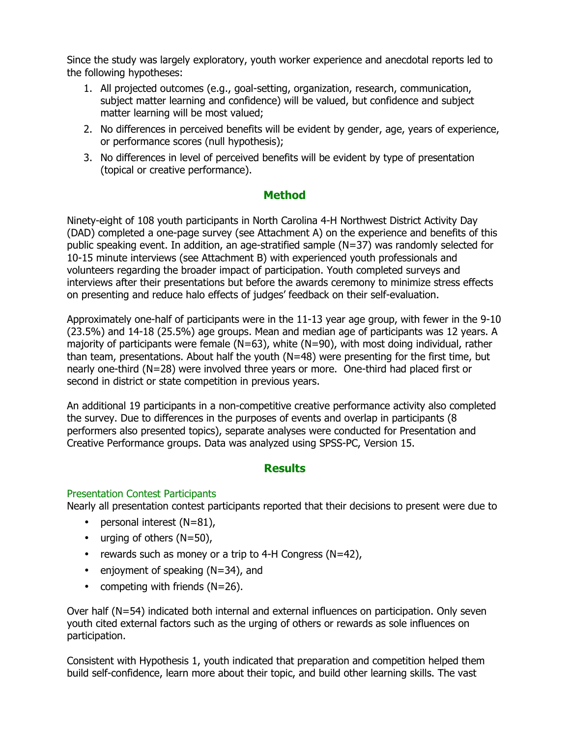Since the study was largely exploratory, youth worker experience and anecdotal reports led to the following hypotheses:

- 1. All projected outcomes (e.g., goal-setting, organization, research, communication, subject matter learning and confidence) will be valued, but confidence and subject matter learning will be most valued;
- 2. No differences in perceived benefits will be evident by gender, age, years of experience, or performance scores (null hypothesis);
- 3. No differences in level of perceived benefits will be evident by type of presentation (topical or creative performance).

#### Method

Ninety-eight of 108 youth participants in North Carolina 4-H Northwest District Activity Day (DAD) completed a one-page survey (see Attachment A) on the experience and benefits of this public speaking event. In addition, an age-stratified sample (N=37) was randomly selected for 10-15 minute interviews (see Attachment B) with experienced youth professionals and volunteers regarding the broader impact of participation. Youth completed surveys and interviews after their presentations but before the awards ceremony to minimize stress effects on presenting and reduce halo effects of judges' feedback on their self-evaluation.

Approximately one-half of participants were in the 11-13 year age group, with fewer in the 9-10 (23.5%) and 14-18 (25.5%) age groups. Mean and median age of participants was 12 years. A majority of participants were female (N=63), white (N=90), with most doing individual, rather than team, presentations. About half the youth (N=48) were presenting for the first time, but nearly one-third (N=28) were involved three years or more. One-third had placed first or second in district or state competition in previous years.

An additional 19 participants in a non-competitive creative performance activity also completed the survey. Due to differences in the purposes of events and overlap in participants (8 performers also presented topics), separate analyses were conducted for Presentation and Creative Performance groups. Data was analyzed using SPSS-PC, Version 15.

#### **Results**

#### Presentation Contest Participants

Nearly all presentation contest participants reported that their decisions to present were due to

- personal interest (N=81),
- urging of others  $(N=50)$ ,
- rewards such as money or a trip to 4-H Congress ( $N=42$ ),
- enjoyment of speaking  $(N=34)$ , and
- competing with friends (N=26).

Over half (N=54) indicated both internal and external influences on participation. Only seven youth cited external factors such as the urging of others or rewards as sole influences on participation.

Consistent with Hypothesis 1, youth indicated that preparation and competition helped them build self-confidence, learn more about their topic, and build other learning skills. The vast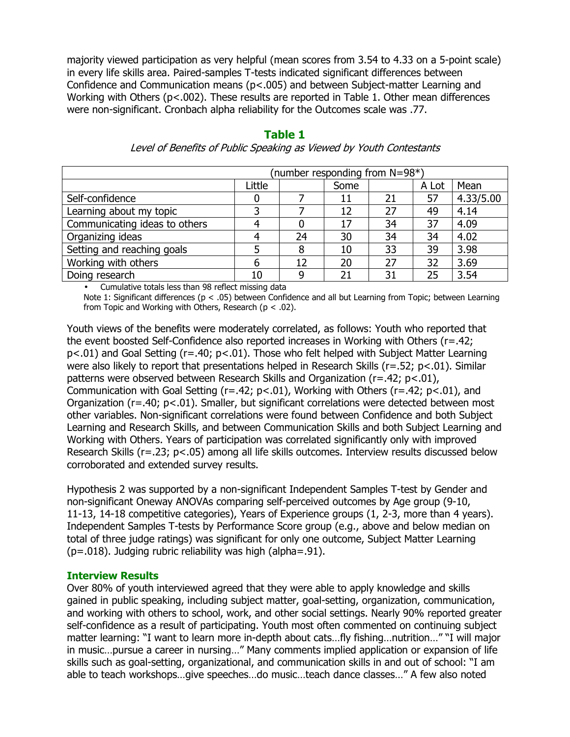majority viewed participation as very helpful (mean scores from 3.54 to 4.33 on a 5-point scale) in every life skills area. Paired-samples T-tests indicated significant differences between Confidence and Communication means (p<.005) and between Subject-matter Learning and Working with Others (p<.002). These results are reported in Table 1. Other mean differences were non-significant. Cronbach alpha reliability for the Outcomes scale was .77.

#### (number responding from N=98\*) Little | Some | A Lot | Mean Self-confidence 1 0 0 7 11 21 57 4.33/5.00 Learning about my topic 3 7 12 27 49 4.14 Communicating ideas to others 4 0 17 34 37 4.09 Organizing ideas 1 4 24 30 34 34 4.02 Setting and reaching goals  $\begin{array}{|c|c|c|c|c|c|c|c|c|c|c|} \hline 5 & 8 & 10 & 33 & 39 & 3.98 \ \hline \end{array}$ Working with others 1 6 12 20 27 32 3.69 Doing research 10 9 21 31 25 3.54

### Table 1

Level of Benefits of Public Speaking as Viewed by Youth Contestants

• Cumulative totals less than 98 reflect missing data

Note 1: Significant differences (p < .05) between Confidence and all but Learning from Topic; between Learning from Topic and Working with Others, Research ( $p < .02$ ).

Youth views of the benefits were moderately correlated, as follows: Youth who reported that the event boosted Self-Confidence also reported increases in Working with Others (r=.42; p<.01) and Goal Setting (r=.40; p<.01). Those who felt helped with Subject Matter Learning were also likely to report that presentations helped in Research Skills (r=.52; p<.01). Similar patterns were observed between Research Skills and Organization (r=.42; p<.01), Communication with Goal Setting (r=.42; p<.01), Working with Others (r=.42; p<.01), and Organization (r=.40; p<.01). Smaller, but significant correlations were detected between most other variables. Non-significant correlations were found between Confidence and both Subject Learning and Research Skills, and between Communication Skills and both Subject Learning and Working with Others. Years of participation was correlated significantly only with improved Research Skills (r=.23; p<.05) among all life skills outcomes. Interview results discussed below corroborated and extended survey results.

Hypothesis 2 was supported by a non-significant Independent Samples T-test by Gender and non-significant Oneway ANOVAs comparing self-perceived outcomes by Age group (9-10, 11-13, 14-18 competitive categories), Years of Experience groups (1, 2-3, more than 4 years). Independent Samples T-tests by Performance Score group (e.g., above and below median on total of three judge ratings) was significant for only one outcome, Subject Matter Learning (p=.018). Judging rubric reliability was high (alpha=.91).

#### Interview Results

Over 80% of youth interviewed agreed that they were able to apply knowledge and skills gained in public speaking, including subject matter, goal-setting, organization, communication, and working with others to school, work, and other social settings. Nearly 90% reported greater self-confidence as a result of participating. Youth most often commented on continuing subject matter learning: "I want to learn more in-depth about cats…fly fishing…nutrition…" "I will major in music…pursue a career in nursing…" Many comments implied application or expansion of life skills such as goal-setting, organizational, and communication skills in and out of school: "I am able to teach workshops…give speeches…do music…teach dance classes…" A few also noted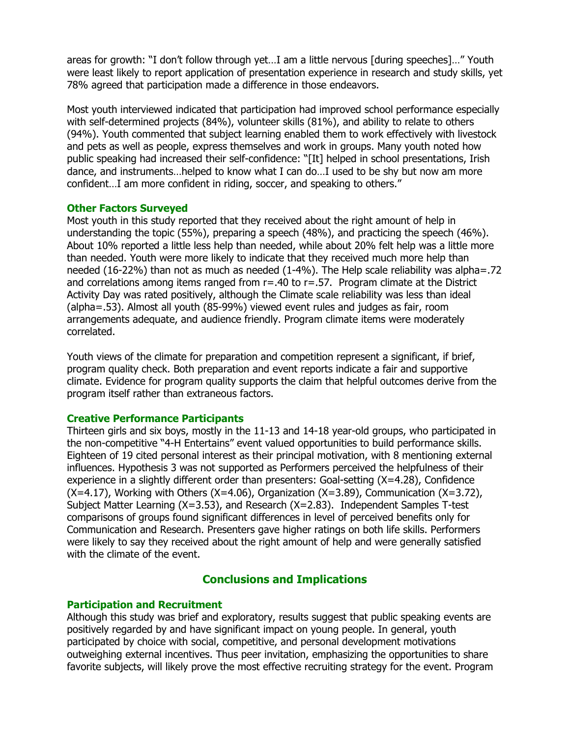areas for growth: "I don't follow through yet…I am a little nervous [during speeches]…" Youth were least likely to report application of presentation experience in research and study skills, yet 78% agreed that participation made a difference in those endeavors.

Most youth interviewed indicated that participation had improved school performance especially with self-determined projects (84%), volunteer skills (81%), and ability to relate to others (94%). Youth commented that subject learning enabled them to work effectively with livestock and pets as well as people, express themselves and work in groups. Many youth noted how public speaking had increased their self-confidence: "[It] helped in school presentations, Irish dance, and instruments…helped to know what I can do…I used to be shy but now am more confident…I am more confident in riding, soccer, and speaking to others."

#### Other Factors Surveyed

Most youth in this study reported that they received about the right amount of help in understanding the topic (55%), preparing a speech (48%), and practicing the speech (46%). About 10% reported a little less help than needed, while about 20% felt help was a little more than needed. Youth were more likely to indicate that they received much more help than needed (16-22%) than not as much as needed (1-4%). The Help scale reliability was alpha=.72 and correlations among items ranged from  $r = .40$  to  $r = .57$ . Program climate at the District Activity Day was rated positively, although the Climate scale reliability was less than ideal (alpha=.53). Almost all youth (85-99%) viewed event rules and judges as fair, room arrangements adequate, and audience friendly. Program climate items were moderately correlated.

Youth views of the climate for preparation and competition represent a significant, if brief, program quality check. Both preparation and event reports indicate a fair and supportive climate. Evidence for program quality supports the claim that helpful outcomes derive from the program itself rather than extraneous factors.

#### Creative Performance Participants

Thirteen girls and six boys, mostly in the 11-13 and 14-18 year-old groups, who participated in the non-competitive "4-H Entertains" event valued opportunities to build performance skills. Eighteen of 19 cited personal interest as their principal motivation, with 8 mentioning external influences. Hypothesis 3 was not supported as Performers perceived the helpfulness of their experience in a slightly different order than presenters: Goal-setting (X=4.28), Confidence  $(X=4.17)$ , Working with Others  $(X=4.06)$ , Organization  $(X=3.89)$ , Communication  $(X=3.72)$ , Subject Matter Learning (X=3.53), and Research (X=2.83). Independent Samples T-test comparisons of groups found significant differences in level of perceived benefits only for Communication and Research. Presenters gave higher ratings on both life skills. Performers were likely to say they received about the right amount of help and were generally satisfied with the climate of the event.

#### Conclusions and Implications

#### Participation and Recruitment

Although this study was brief and exploratory, results suggest that public speaking events are positively regarded by and have significant impact on young people. In general, youth participated by choice with social, competitive, and personal development motivations outweighing external incentives. Thus peer invitation, emphasizing the opportunities to share favorite subjects, will likely prove the most effective recruiting strategy for the event. Program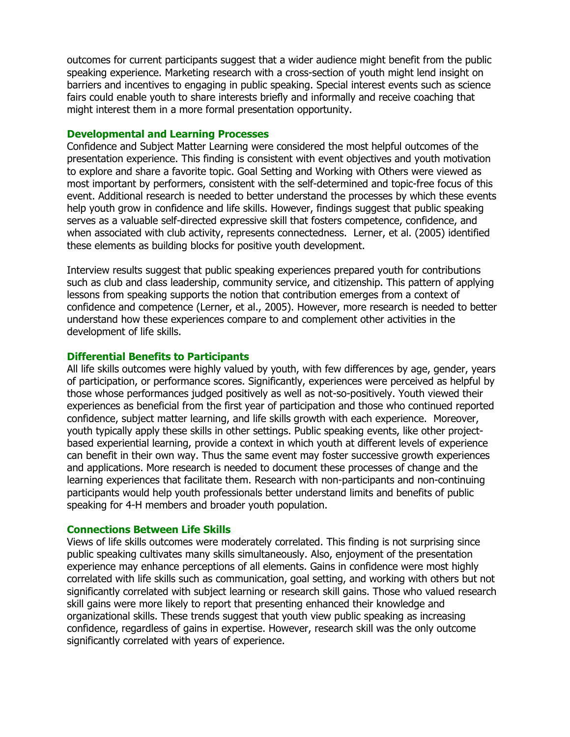outcomes for current participants suggest that a wider audience might benefit from the public speaking experience. Marketing research with a cross-section of youth might lend insight on barriers and incentives to engaging in public speaking. Special interest events such as science fairs could enable youth to share interests briefly and informally and receive coaching that might interest them in a more formal presentation opportunity.

#### Developmental and Learning Processes

Confidence and Subject Matter Learning were considered the most helpful outcomes of the presentation experience. This finding is consistent with event objectives and youth motivation to explore and share a favorite topic. Goal Setting and Working with Others were viewed as most important by performers, consistent with the self-determined and topic-free focus of this event. Additional research is needed to better understand the processes by which these events help youth grow in confidence and life skills. However, findings suggest that public speaking serves as a valuable self-directed expressive skill that fosters competence, confidence, and when associated with club activity, represents connectedness. Lerner, et al. (2005) identified these elements as building blocks for positive youth development.

Interview results suggest that public speaking experiences prepared youth for contributions such as club and class leadership, community service, and citizenship. This pattern of applying lessons from speaking supports the notion that contribution emerges from a context of confidence and competence (Lerner, et al., 2005). However, more research is needed to better understand how these experiences compare to and complement other activities in the development of life skills.

#### Differential Benefits to Participants

All life skills outcomes were highly valued by youth, with few differences by age, gender, years of participation, or performance scores. Significantly, experiences were perceived as helpful by those whose performances judged positively as well as not-so-positively. Youth viewed their experiences as beneficial from the first year of participation and those who continued reported confidence, subject matter learning, and life skills growth with each experience. Moreover, youth typically apply these skills in other settings. Public speaking events, like other projectbased experiential learning, provide a context in which youth at different levels of experience can benefit in their own way. Thus the same event may foster successive growth experiences and applications. More research is needed to document these processes of change and the learning experiences that facilitate them. Research with non-participants and non-continuing participants would help youth professionals better understand limits and benefits of public speaking for 4-H members and broader youth population.

#### Connections Between Life Skills

Views of life skills outcomes were moderately correlated. This finding is not surprising since public speaking cultivates many skills simultaneously. Also, enjoyment of the presentation experience may enhance perceptions of all elements. Gains in confidence were most highly correlated with life skills such as communication, goal setting, and working with others but not significantly correlated with subject learning or research skill gains. Those who valued research skill gains were more likely to report that presenting enhanced their knowledge and organizational skills. These trends suggest that youth view public speaking as increasing confidence, regardless of gains in expertise. However, research skill was the only outcome significantly correlated with years of experience.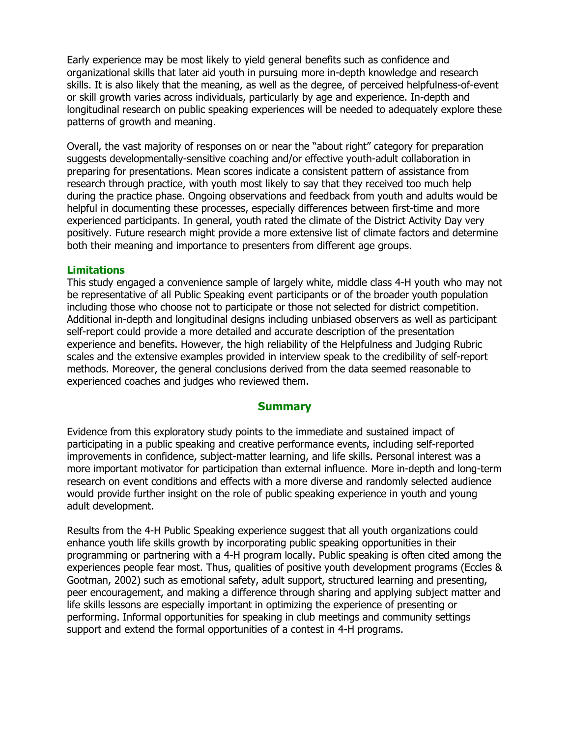Early experience may be most likely to yield general benefits such as confidence and organizational skills that later aid youth in pursuing more in-depth knowledge and research skills. It is also likely that the meaning, as well as the degree, of perceived helpfulness-of-event or skill growth varies across individuals, particularly by age and experience. In-depth and longitudinal research on public speaking experiences will be needed to adequately explore these patterns of growth and meaning.

Overall, the vast majority of responses on or near the "about right" category for preparation suggests developmentally-sensitive coaching and/or effective youth-adult collaboration in preparing for presentations. Mean scores indicate a consistent pattern of assistance from research through practice, with youth most likely to say that they received too much help during the practice phase. Ongoing observations and feedback from youth and adults would be helpful in documenting these processes, especially differences between first-time and more experienced participants. In general, youth rated the climate of the District Activity Day very positively. Future research might provide a more extensive list of climate factors and determine both their meaning and importance to presenters from different age groups.

#### **Limitations**

This study engaged a convenience sample of largely white, middle class 4-H youth who may not be representative of all Public Speaking event participants or of the broader youth population including those who choose not to participate or those not selected for district competition. Additional in-depth and longitudinal designs including unbiased observers as well as participant self-report could provide a more detailed and accurate description of the presentation experience and benefits. However, the high reliability of the Helpfulness and Judging Rubric scales and the extensive examples provided in interview speak to the credibility of self-report methods. Moreover, the general conclusions derived from the data seemed reasonable to experienced coaches and judges who reviewed them.

#### **Summary**

Evidence from this exploratory study points to the immediate and sustained impact of participating in a public speaking and creative performance events, including self-reported improvements in confidence, subject-matter learning, and life skills. Personal interest was a more important motivator for participation than external influence. More in-depth and long-term research on event conditions and effects with a more diverse and randomly selected audience would provide further insight on the role of public speaking experience in youth and young adult development.

Results from the 4-H Public Speaking experience suggest that all youth organizations could enhance youth life skills growth by incorporating public speaking opportunities in their programming or partnering with a 4-H program locally. Public speaking is often cited among the experiences people fear most. Thus, qualities of positive youth development programs (Eccles & Gootman, 2002) such as emotional safety, adult support, structured learning and presenting, peer encouragement, and making a difference through sharing and applying subject matter and life skills lessons are especially important in optimizing the experience of presenting or performing. Informal opportunities for speaking in club meetings and community settings support and extend the formal opportunities of a contest in 4-H programs.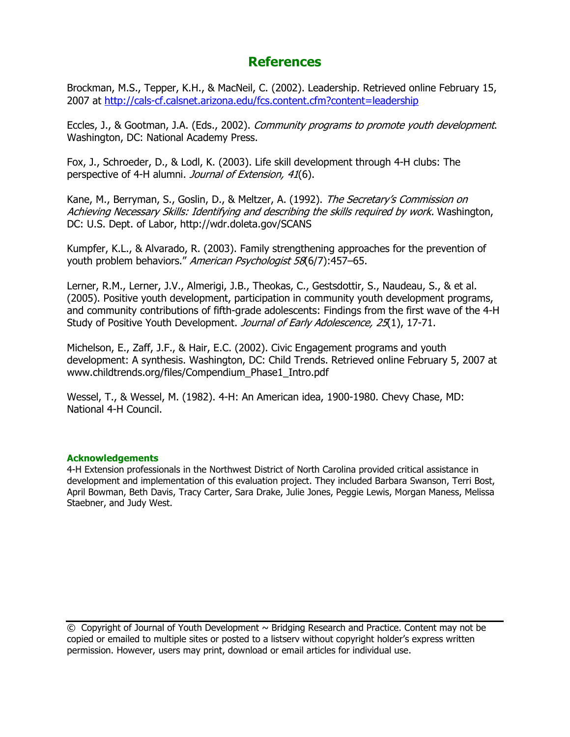## **References**

Brockman, M.S., Tepper, K.H., & MacNeil, C. (2002). Leadership. Retrieved online February 15, 2007 at http://cals-cf.calsnet.arizona.edu/fcs.content.cfm?content=leadership

Eccles, J., & Gootman, J.A. (Eds., 2002). Community programs to promote youth development. Washington, DC: National Academy Press.

Fox, J., Schroeder, D., & Lodl, K. (2003). Life skill development through 4-H clubs: The perspective of 4-H alumni. *Journal of Extension, 41*(6).

Kane, M., Berryman, S., Goslin, D., & Meltzer, A. (1992). The Secretary's Commission on Achieving Necessary Skills: Identifying and describing the skills required by work. Washington, DC: U.S. Dept. of Labor, http://wdr.doleta.gov/SCANS

Kumpfer, K.L., & Alvarado, R. (2003). Family strengthening approaches for the prevention of youth problem behaviors." American Psychologist 58(6/7):457-65.

Lerner, R.M., Lerner, J.V., Almerigi, J.B., Theokas, C., Gestsdottir, S., Naudeau, S., & et al. (2005). Positive youth development, participation in community youth development programs, and community contributions of fifth-grade adolescents: Findings from the first wave of the 4-H Study of Positive Youth Development. Journal of Early Adolescence, 25(1), 17-71.

Michelson, E., Zaff, J.F., & Hair, E.C. (2002). Civic Engagement programs and youth development: A synthesis. Washington, DC: Child Trends. Retrieved online February 5, 2007 at www.childtrends.org/files/Compendium\_Phase1\_Intro.pdf

Wessel, T., & Wessel, M. (1982). 4-H: An American idea, 1900-1980. Chevy Chase, MD: National 4-H Council.

#### Acknowledgements

4-H Extension professionals in the Northwest District of North Carolina provided critical assistance in development and implementation of this evaluation project. They included Barbara Swanson, Terri Bost, April Bowman, Beth Davis, Tracy Carter, Sara Drake, Julie Jones, Peggie Lewis, Morgan Maness, Melissa Staebner, and Judy West.

© Copyright of Journal of Youth Development ~ Bridging Research and Practice. Content may not be copied or emailed to multiple sites or posted to a listserv without copyright holder's express written permission. However, users may print, download or email articles for individual use.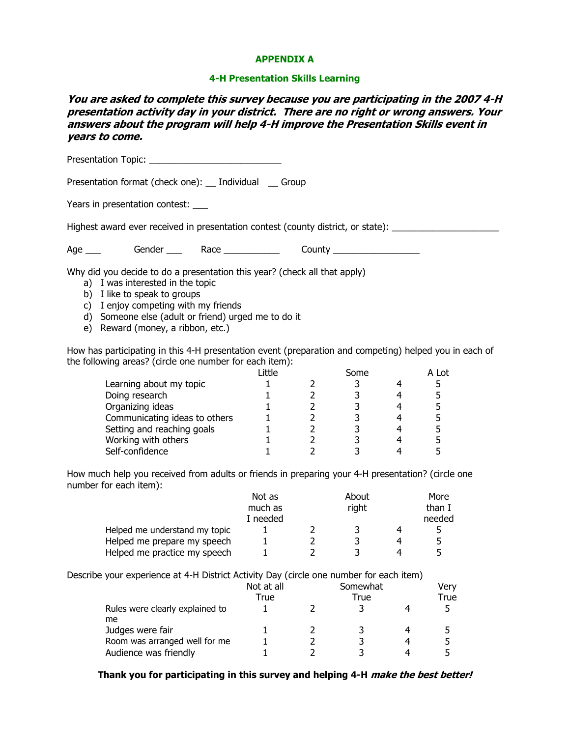#### APPENDIX A

#### 4-H Presentation Skills Learning

You are asked to complete this survey because you are participating in the 2007 4-H presentation activity day in your district. There are no right or wrong answers. Your answers about the program will help 4-H improve the Presentation Skills event in years to come.

Presentation Topic: **Example 20** Presentation format (check one): Individual Group Years in presentation contest: Highest award ever received in presentation contest (county district, or state): Age \_\_\_ Gender \_\_\_ Race \_\_\_\_\_\_\_\_\_\_\_ County \_\_\_\_\_\_\_\_\_\_\_\_\_\_\_\_\_ Why did you decide to do a presentation this year? (check all that apply) a) I was interested in the topic b) I like to speak to groups c) I enjoy competing with my friends d) Someone else (adult or friend) urged me to do it e) Reward (money, a ribbon, etc.) How has participating in this 4-H presentation event (preparation and competing) helped you in each of the following areas? (circle one number for each item): Little Some A Lot Learning about my topic  $1$  and  $2$  and  $3$  and  $4$  and  $5$ Doing research 1 2 3 4 5 Organizing ideas 1 and 1 and 2 and 3 and 4 and 5 Communicating ideas to others  $1 \qquad 2 \qquad 3 \qquad 4 \qquad 5$ Setting and reaching goals  $1 \qquad 2 \qquad 3 \qquad 4 \qquad 5$ Working with others 1 2 3 4 5 Self-confidence  $\begin{array}{cccc} 1 & 2 & 3 & 4 & 5 \end{array}$ 

How much help you received from adults or friends in preparing your 4-H presentation? (circle one number for each item):

|                               | Not as   |  | About |   | More   |
|-------------------------------|----------|--|-------|---|--------|
|                               | much as  |  | right |   | than I |
|                               | I needed |  |       |   | needed |
| Helped me understand my topic |          |  |       | 4 |        |
| Helped me prepare my speech   |          |  |       |   |        |
| Helped me practice my speech  |          |  |       | 4 |        |

Describe your experience at 4-H District Activity Day (circle one number for each item)

|                                       | Not at all |      | Somewhat |  | Very |
|---------------------------------------|------------|------|----------|--|------|
|                                       | True       | True |          |  | True |
| Rules were clearly explained to<br>me |            |      |          |  |      |
| Judges were fair                      |            |      |          |  |      |
| Room was arranged well for me         |            |      |          |  | 5    |
| Audience was friendly                 |            |      |          |  |      |

Thank you for participating in this survey and helping 4-H *make the best better!*